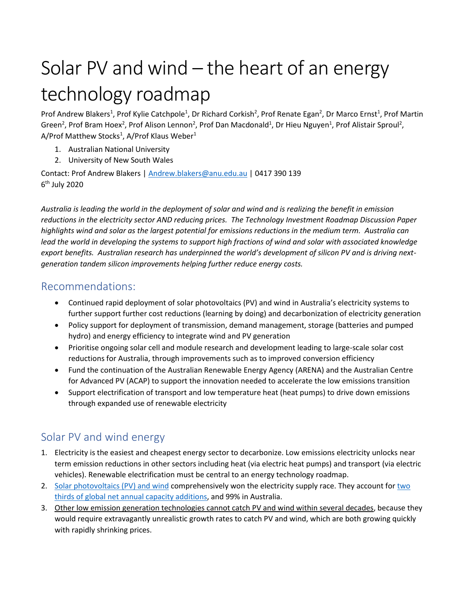## Solar PV and wind – the heart of an energy technology roadmap

Prof Andrew Blakers<sup>1</sup>, Prof Kylie Catchpole<sup>1</sup>, Dr Richard Corkish<sup>2</sup>, Prof Renate Egan<sup>2</sup>, Dr Marco Ernst<sup>1</sup>, Prof Martin Green<sup>2</sup>, Prof Bram Hoex<sup>2</sup>, Prof Alison Lennon<sup>2</sup>, Prof Dan Macdonald<sup>1</sup>, Dr Hieu Nguyen<sup>1</sup>, Prof Alistair Sproul<sup>2</sup>, A/Prof Matthew Stocks<sup>1</sup>, A/Prof Klaus Weber<sup>1</sup>

- 1. Australian National University
- 2. University of New South Wales

Contact: Prof Andrew Blakers | [Andrew.blakers@anu.edu.au](mailto:Andrew.blakers@anu.edu.au) | 0417 390 139 6<sup>th</sup> July 2020

*Australia is leading the world in the deployment of solar and wind and is realizing the benefit in emission reductions in the electricity sector AND reducing prices. The Technology Investment Roadmap Discussion Paper highlights wind and solar as the largest potential for emissions reductions in the medium term. Australia can lead the world in developing the systems to support high fractions of wind and solar with associated knowledge export benefits. Australian research has underpinned the world's development of silicon PV and is driving nextgeneration tandem silicon improvements helping further reduce energy costs.* 

## Recommendations:

- Continued rapid deployment of solar photovoltaics (PV) and wind in Australia's electricity systems to further support further cost reductions (learning by doing) and decarbonization of electricity generation
- Policy support for deployment of transmission, demand management, storage (batteries and pumped hydro) and energy efficiency to integrate wind and PV generation
- Prioritise ongoing solar cell and module research and development leading to large-scale solar cost reductions for Australia, through improvements such as to improved conversion efficiency
- Fund the continuation of the Australian Renewable Energy Agency (ARENA) and the Australian Centre for Advanced PV (ACAP) to support the innovation needed to accelerate the low emissions transition
- Support electrification of transport and low temperature heat (heat pumps) to drive down emissions through expanded use of renewable electricity

## Solar PV and wind energy

- 1. Electricity is the easiest and cheapest energy sector to decarbonize. Low emissions electricity unlocks near term emission reductions in other sectors including heat (via electric heat pumps) and transport (via electric vehicles). Renewable electrification must be central to an energy technology roadmap.
- 2. [Solar photovoltaics \(PV\)](https://theconversation.com/really-australia-its-not-that-hard-10-reasons-why-renewable-energy-is-the-future-130459) and wind comprehensively won the electricity supply race. They account for [two](https://ieeexplore.ieee.org/document/8836526)  [thirds of global net annual capacity additions,](https://ieeexplore.ieee.org/document/8836526) and 99% in Australia.
- 3. Other low emission generation technologies cannot catch PV and wind within several decades, because they would require extravagantly unrealistic growth rates to catch PV and wind, which are both growing quickly with rapidly shrinking prices.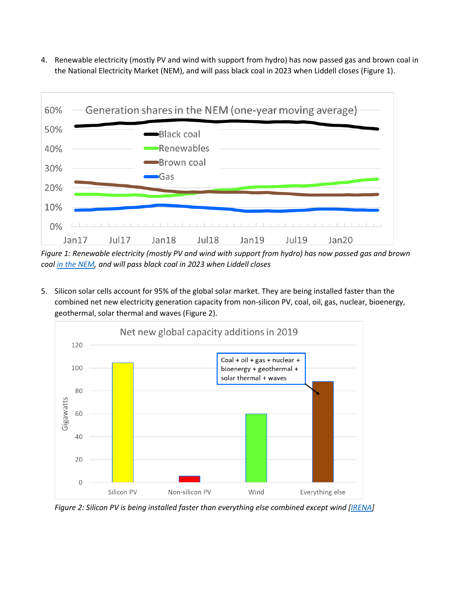4. Renewable electricity (mostly PV and wind with support from hydro) has now passed gas and brown coal in the National Electricity Market (NEM), and will pass black coal in 2023 when Liddell closes (Figure 1).



*Figure 1: Renewable electricity (mostly PV and wind with support from hydro) has now passed gas and brown coal [in the NEM,](https://opennem.org.au/energy/nem/) and will pass black coal in 2023 when Liddell closes*

5. Silicon solar cells account for 95% of the global solar market. They are being installed faster than the combined net new electricity generation capacity from non-silicon PV, coal, oil, gas, nuclear, bioenergy, geothermal, solar thermal and waves (Figure 2).



*Figure 2: Silicon PV is being installed faster than everything else combined except wind [\[IRENA\]](https://www.irena.org/Statistics)*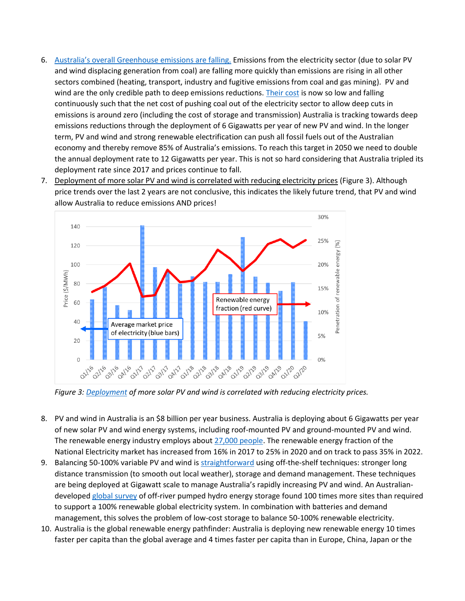- 6. [Australia's overall Greenhouse emissions are falling](http://re100.eng.anu.edu.au/resources/assets/191024Emissionsarepeaking.pdf). Emissions from the electricity sector (due to solar PV and wind displacing generation from coal) are falling more quickly than emissions are rising in all other sectors combined (heating, transport, industry and fugitive emissions from coal and gas mining). PV and wind are the only credible path to deep emissions reductions. [Their cost](https://reneweconomy.com.au/technology-leaps-driving-cost-of-solar-pv-electricity-in-australia-to-just-a30-mwh-42052/) is now so low and falling continuously such that the net cost of pushing coal out of the electricity sector to allow deep cuts in emissions is around zero (including the cost of storage and transmission) Australia is tracking towards deep emissions reductions through the deployment of 6 Gigawatts per year of new PV and wind. In the longer term, PV and wind and strong renewable electrification can push all fossil fuels out of the Australian economy and thereby remove 85% of Australia's emissions. To reach this target in 2050 we need to double the annual deployment rate to 12 Gigawatts per year. This is not so hard considering that Australia tripled its deployment rate since 2017 and prices continue to fall.
- 7. Deployment of more solar PV and wind is correlated with reducing electricity prices (Figure 3). Although price trends over the last 2 years are not conclusive, this indicates the likely future trend, that PV and wind allow Australia to reduce emissions AND prices!



*Figure 3: [Deployment](https://opennem.org.au/energy/nem/) of more solar PV and wind is correlated with reducing electricity prices.*

- 8. PV and wind in Australia is an \$8 billion per year business. Australia is deploying about 6 Gigawatts per year of new solar PV and wind energy systems, including roof-mounted PV and ground-mounted PV and wind. The renewable energy industry employs abou[t 27,000 people.](https://www.abs.gov.au/ausstats/abs@.nsf/mf/4631.0?OpenDocument) The renewable energy fraction of the National Electricity market has increased from 16% in 2017 to 25% in 2020 and on track to pass 35% in 2022.
- 9. Balancing 50-100% variable PV and wind i[s straightforward](http://www.sciencedirect.com/science/article/pii/S0360544217309568) using off-the-shelf techniques: stronger long distance transmission (to smooth out local weather), storage and demand management. These techniques are being deployed at Gigawatt scale to manage Australia's rapidly increasing PV and wind. An Australiandeveloped [global survey](http://re100.eng.anu.edu.au/global/index.php) of off-river pumped hydro energy storage found 100 times more sites than required to support a 100% renewable global electricity system. In combination with batteries and demand management, this solves the problem of low-cost storage to balance 50-100% renewable electricity.
- 10. Australia is the global renewable energy pathfinder: Australia is deploying new renewable energy 10 times faster per capita than the global average and 4 times faster per capita than in Europe, China, Japan or the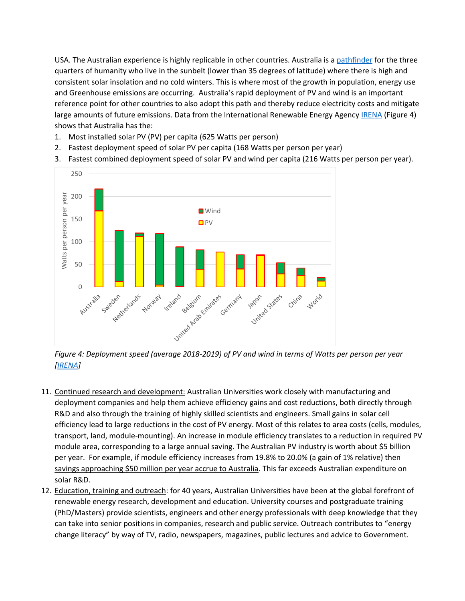USA. The Australian experience is highly replicable in other countries. Australia is a [pathfinder](https://ieeexplore.ieee.org/document/8836526) for the three quarters of humanity who live in the sunbelt (lower than 35 degrees of latitude) where there is high and consistent solar insolation and no cold winters. This is where most of the growth in population, energy use and Greenhouse emissions are occurring. Australia's rapid deployment of PV and wind is an important reference point for other countries to also adopt this path and thereby reduce electricity costs and mitigate large amounts of future emissions. Data from the International Renewable Energy Agency [IRENA](https://www.irena.org/Statistics) (Figure 4) shows that Australia has the:

- 1. Most installed solar PV (PV) per capita (625 Watts per person)
- 2. Fastest deployment speed of solar PV per capita (168 Watts per person per year)
- 3. Fastest combined deployment speed of solar PV and wind per capita (216 Watts per person per year).



*Figure 4: Deployment speed (average 2018-2019) of PV and wind in terms of Watts per person per year [\[IRENA\]](https://www.irena.org/Statistics)*

- 11. Continued research and development: Australian Universities work closely with manufacturing and deployment companies and help them achieve efficiency gains and cost reductions, both directly through R&D and also through the training of highly skilled scientists and engineers. Small gains in solar cell efficiency lead to large reductions in the cost of PV energy. Most of this relates to area costs (cells, modules, transport, land, module-mounting). An increase in module efficiency translates to a reduction in required PV module area, corresponding to a large annual saving. The Australian PV industry is worth about \$5 billion per year. For example, if module efficiency increases from 19.8% to 20.0% (a gain of 1% relative) then savings approaching \$50 million per year accrue to Australia. This far exceeds Australian expenditure on solar R&D.
- 12. Education, training and outreach: for 40 years, Australian Universities have been at the global forefront of renewable energy research, development and education. University courses and postgraduate training (PhD/Masters) provide scientists, engineers and other energy professionals with deep knowledge that they can take into senior positions in companies, research and public service. Outreach contributes to "energy change literacy" by way of TV, radio, newspapers, magazines, public lectures and advice to Government.